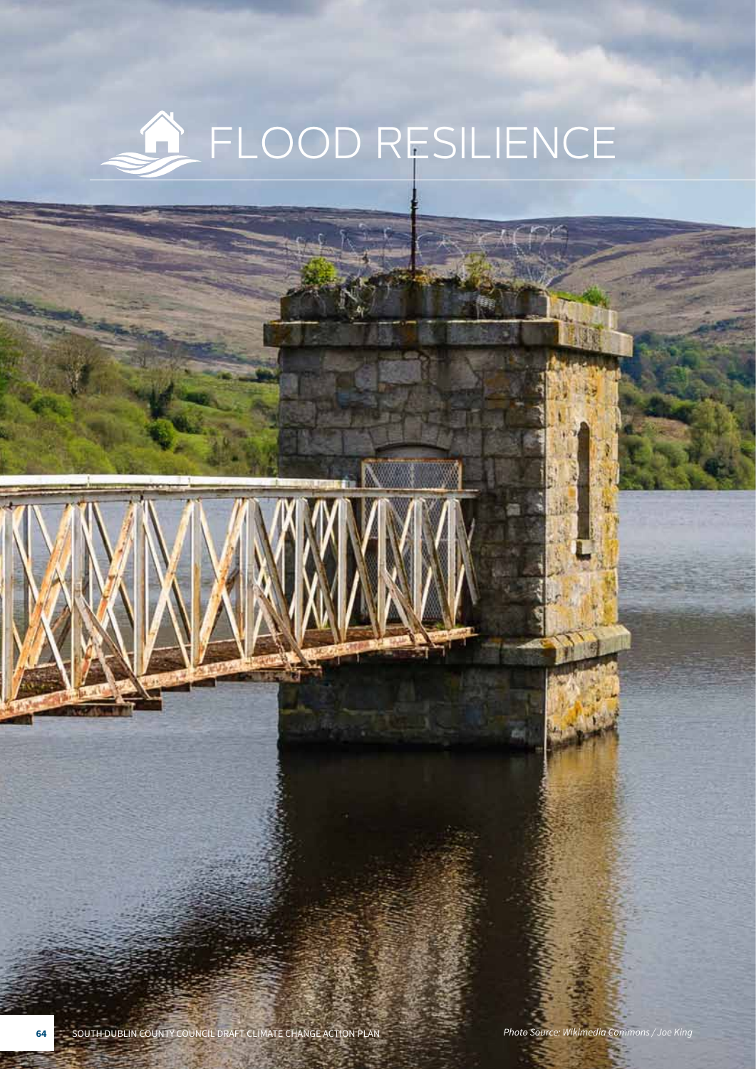## **A** FLOOD RESILIENCE

**64** SOUTH DUBLIN COUNTY COUNCIL DRAFT CLIMATE CHANGE ACTION PLAN *Photo Source: Wikimedia Commons / Joe King*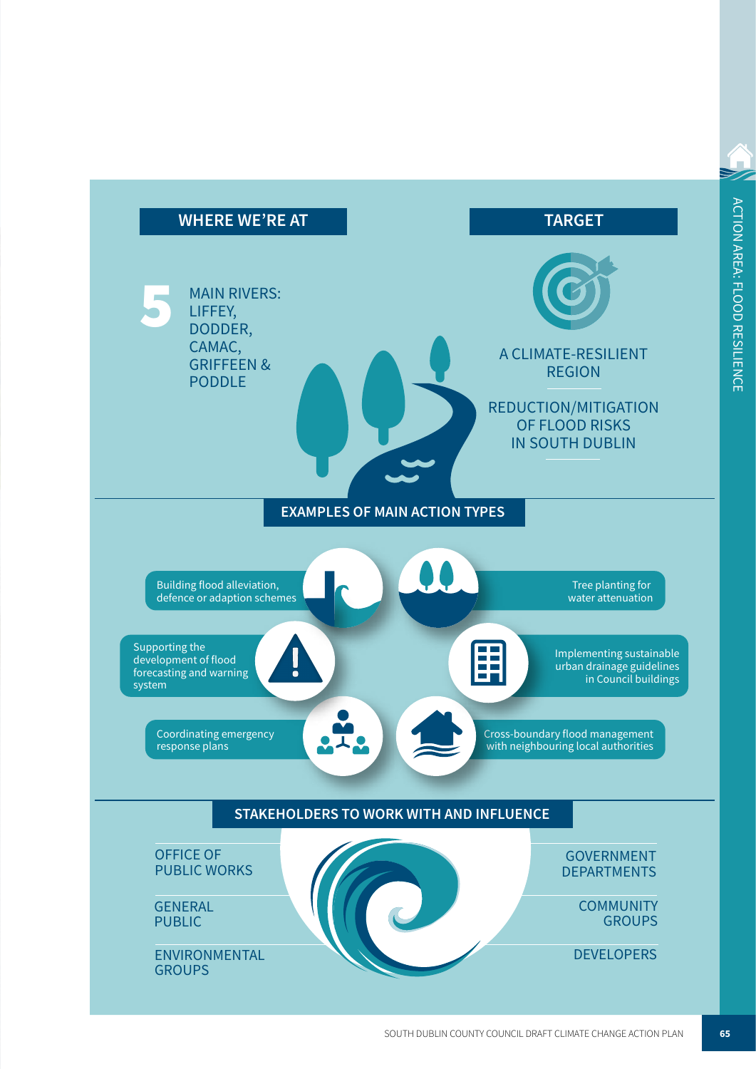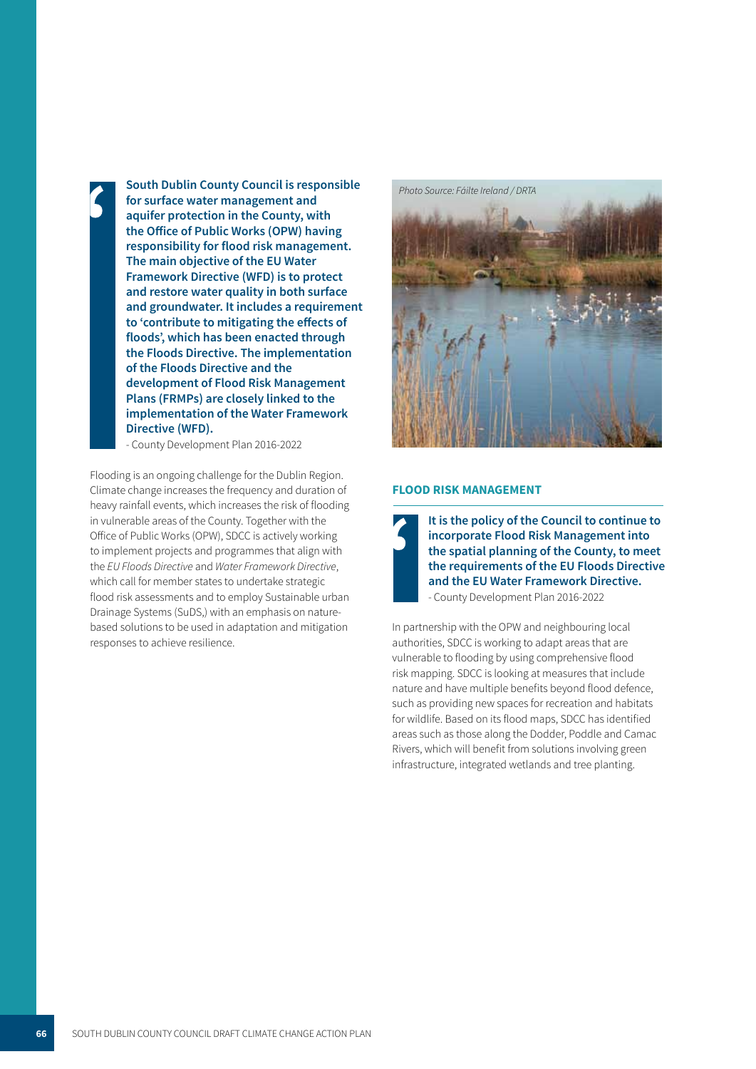**South Dublin County Council is responsible for surface water management and<br>aquifer protection in the County wi aquifer protection in the County, with the Office of Public Works (OPW) having responsibility for flood risk management. The main objective of the EU Water Framework Directive (WFD) is to protect and restore water quality in both surface and groundwater. It includes a requirement to 'contribute to mitigating the effects of floods', which has been enacted through the Floods Directive. The implementation of the Floods Directive and the development of Flood Risk Management Plans (FRMPs) are closely linked to the implementation of the Water Framework Directive (WFD).** 

- County Development Plan 2016-2022

Flooding is an ongoing challenge for the Dublin Region. Climate change increases the frequency and duration of heavy rainfall events, which increases the risk of flooding in vulnerable areas of the County. Together with the Office of Public Works (OPW), SDCC is actively working to implement projects and programmes that align with the EU Floods Directive and *Water Framework Directive*, which call for member states to undertake strategic flood risk assessments and to employ Sustainable urban Drainage Systems (SuDS,) with an emphasis on naturebased solutions to be used in adaptation and mitigation responses to achieve resilience.



## **FLOOD RISK MANAGEMENT**



**It is the policy of the Council to continue to incorporate Flood Risk Management into**  i **the spatial planning of the County, to meet the requirements of the EU Floods Directive and the EU Water Framework Directive.**  - County Development Plan 2016-2022

In partnership with the OPW and neighbouring local authorities, SDCC is working to adapt areas that are vulnerable to flooding by using comprehensive flood risk mapping. SDCC is looking at measures that include nature and have multiple benefits beyond flood defence, such as providing new spaces for recreation and habitats for wildlife. Based on its flood maps, SDCC has identified areas such as those along the Dodder, Poddle and Camac Rivers, which will benefit from solutions involving green infrastructure, integrated wetlands and tree planting.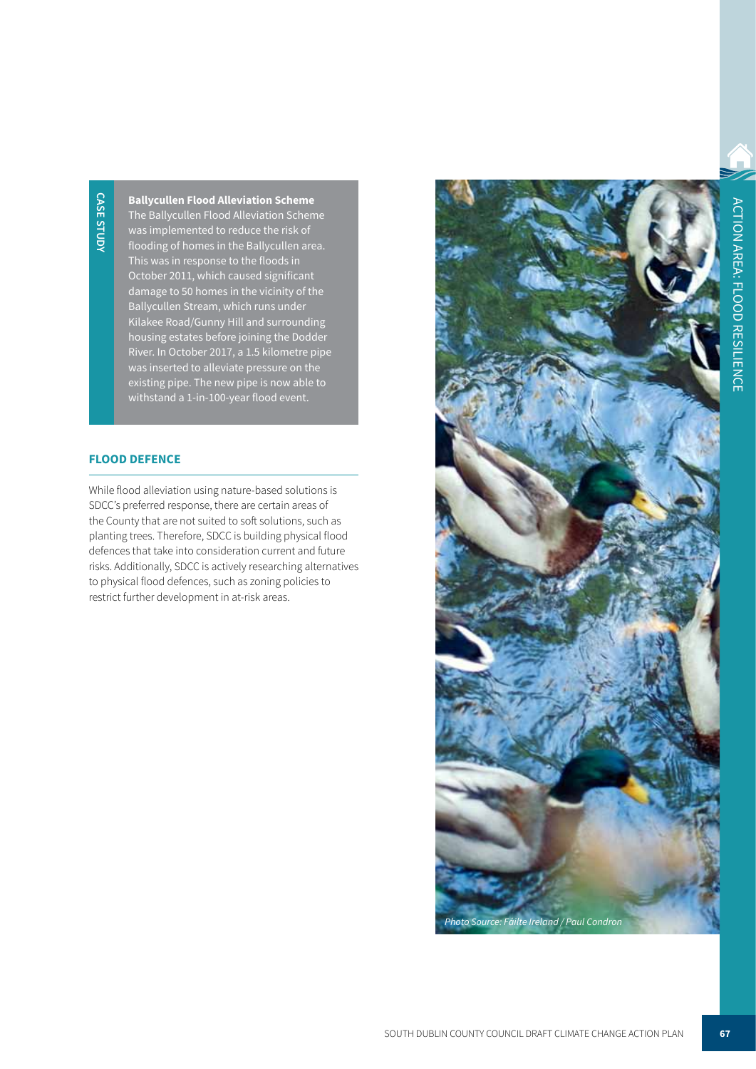**Ballycullen Flood Alleviation Scheme** The Ballycullen Flood Alleviation Scheme was implemented to reduce the risk of flooding of homes in the Ballycullen area. This was in response to the floods in October 2011, which caused significant damage to 50 homes in the vicinity of the Ballycullen Stream, which runs under Kilakee Road/Gunny Hill and surrounding housing estates before joining the Dodder River. In October 2017, a 1.5 kilometre pipe was inserted to alleviate pressure on the existing pipe. The new pipe is now able to withstand a 1-in-100-year flood event.

## **FLOOD DEFENCE**

While flood alleviation using nature-based solutions is SDCC's preferred response, there are certain areas of the County that are not suited to soft solutions, such as planting trees. Therefore, SDCC is building physical flood defences that take into consideration current and future risks. Additionally, SDCC is actively researching alternatives to physical flood defences, such as zoning policies to restrict further development in at-risk areas.

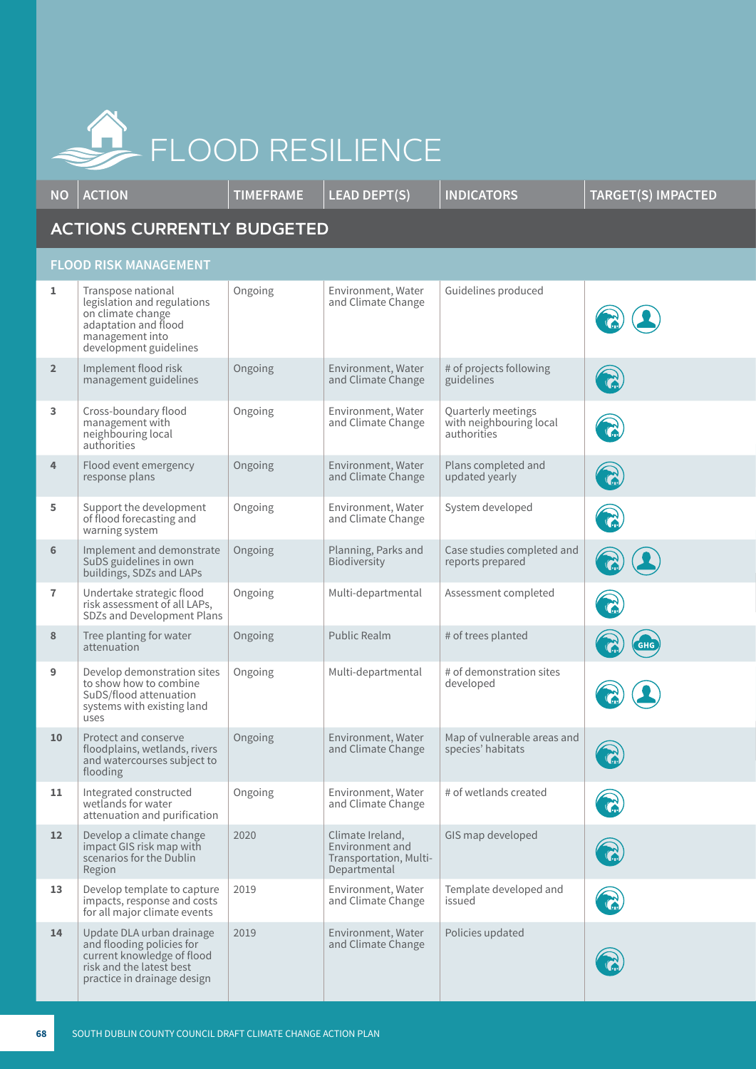

**NO ACTION TIMEFRAME LEAD DEPT(S) INDICATORS TARGET(S) IMPACTED ACTIONS CURRENTLY BUDGETED FLOOD RISK MANAGEMENT 1** Transpose national Ongoing Environment, Water Guidelines produced legislation and regulations and Climate Change on climate change adaptation and flood management into development guidelines **2** Implement flood risk # of projects following Ongoing Environment, Water management guidelines and Climate Change guidelines **3** Cross-boundary flood Ongoing Environment, Water Quarterly meetings with neighbouring local management with and Climate Change neighbouring local authorities authorities Plans completed and **4** Flood event emergency Ongoing Environment, Water response plans and Climate Change updated yearly **5** Support the development Ongoing Environment, Water System developed R of flood forecasting and and Climate Change warning system Ongoing Planning, Parks and Case studies completed and **6** | Implement and demonstrate Biodiversity reports prepared SuDS guidelines in own buildings, SDZs and LAPs **7** Undertake strategic flood Ongoing Multi-departmental Assessment completed risk assessment of all LAPs, SDZs and Development Plans **8** Tree planting for water Ongoing Public Realm # of trees planted attenuation **9** Develop demonstration sites Ongoing Multi-departmental # of demonstration sites to show how to combine developed SuDS/flood attenuation systems with existing land uses 10 | Protect and conserve Ongoing Environment, Water Map of vulnerable areas and floodplains, wetlands, rivers and Climate Change species' habitats and watercourses subject to flooding # of wetlands created 11 | Integrated constructed Ongoing Environment, Water and Climate Change wetlands for water attenuation and purification **12** Develop a climate change 2020 Climate Ireland, GIS map developed Environment and impact GIS risk map with scenarios for the Dublin Transportation, Multi-Region **Departmental** 13 | Develop template to capture 2019 Environment, Water Template developed and impacts, response and costs and Climate Change issued for all major climate events 14 | Update DLA urban drainage 2019 **Environment, Water** Policies updated and flooding policies for and Climate Change current knowledge of flood risk and the latest best practice in drainage design